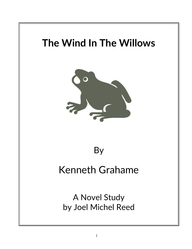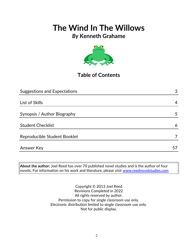## *By* **Kenneth Grahame**



## **Table of Contents**

| <b>Suggestions and Expectations</b> | 3  |
|-------------------------------------|----|
|                                     |    |
| List of Skills                      | 4  |
|                                     |    |
| Synopsis / Author Biography         | 5  |
|                                     |    |
| <b>Student Checklist</b>            | 6  |
| Reproducible Student Booklet        |    |
|                                     |    |
| Answer Key                          | 57 |

**About the author:** Joel Reed has over 70 published novel studies and is the author of four novels. For information on his work and literature, please visit [www.reednovelstudies.com](http://www.reednovelstudies.com/)

> Copyright © 2013 Joel Reed Revisions Completed in 2022 All rights reserved by author. Permission to copy for single classroom use only. Electronic distribution limited to single classroom use only. Not for public display.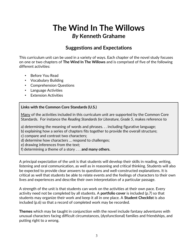## **The Wind In The Willows** *By* **Kenneth Grahame**

### **Suggestions and Expectations**

This curriculum unit can be used in a variety of ways. Each chapter of the novel study focuses on one or two chapters of **The Wind In The Willows** and is comprised of five of the following different activities:

- Before You Read
- Vocabulary Building
- Comprehension Questions
- Language Activities
- Extension Activities

### **Links with the Common Core Standards (U.S.)**

Many of the activities included in this curriculum unit are supported by the Common Core Standards. For instance the *Reading Standards for Literature, Grade 5*, makes reference to

a) determining the meaning of words and phrases. . . including figurative language;

- b) explaining how a series of chapters fits together to provide the overall structure;
- c) compare and contrast two characters;
- d) determine how characters … respond to challenges;

e) drawing inferences from the text;

f) determining a theme of a story . . . **and many others.**

A principal expectation of the unit is that students will develop their skills in reading, writing, listening and oral communication, as well as in reasoning and critical thinking. Students will also be expected to provide clear answers to questions and well-constructed explanations. It is critical as well that students be able to relate events and the feelings of characters to their own lives and experiences and describe their own interpretation of a particular passage.

A strength of the unit is that students can work on the activities at their own pace. Every activity need not be completed by all students. A **portfolio cover** is included (p.7) so that students may organize their work and keep it all in one place. A **Student Checklist** is also included (p.6) so that a record of completed work may be recorded.

**Themes** which may be taught in conjunction with the novel include fantasy adventures with unusual characters facing difficult circumstances, (dysfunctional) families and friendships, and putting right to a wrong.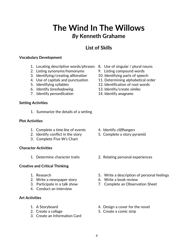## **The Wind In The Willows** *By* **Kenneth Grahame**

## **List of Skills**

#### **Vocabulary Development**

- 1. Locating descriptive words/phrases 8. Use of singular / plural nouns
- 2. Listing synonyms/homonyms 9. Listing compound words
- 3. Identifying/creating *alliteration* 10. Identifying parts of speech
- 
- 
- 6. Identify *foreshadowing*. 13. Identify/create *similes*
- 7. Identify *personification* 14. Identify *anagrams*

#### **Setting Activities**

1. Summarize the details of a setting

#### **Plot Activities**

- 1. Complete a *time line* of events 4. Identify *cliffhangers*
- 2. Identify conflict in the story 5. Complete a story pyramid
- 3. Complete Five W's Chart

### **Character Activities**

### **Creative and Critical Thinking**

- 
- 2. Write a newspaper story 6. Write a book review
- 
- 4. Conduct an interview

### **Art Activities**

- 
- 
- 3. Create an Information Card
- 
- 
- 
- 4. Use of capitals and punctuation 11. Determining alphabetical order
- 5. Identifying syllables 12. Identification of root words
	-
	-

- 
- 
- 1. Determine character traits 2. Relating personal experiences
- 1. Research 5. Write a description of personal feelings
	-
- 3. Participate in a talk show 7. Complete an Observation Sheet
- 1. A Storyboard 4. Design a cover for the novel
- 2. Create a collage 5. Create a comic strip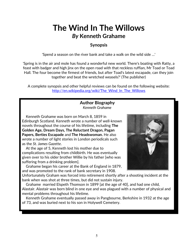## **The Wind In The Willows** *By* **Kenneth Grahame**

### **Synopsis**

'Spend a season on the river bank and take a walk on the wild side …'

'Spring is in the air and mole has found a wonderful new world. There's boating with Ratty, a feast with badger and high jinx on the open road with that reckless ruffian, Mr Toad or Toad Hall. The four become the firmest of friends, but after Toad's latest escapade, can they join together and beat the wretched weasels?' (The publisher)

A complete synopsis and other helpful reviews can be found on the following website: http://en.wikipedia.org/wiki/The Wind In The Willows

### **Author Biography** *Kenneth Grahame*

 Kenneth Grahame was born on March 8, 1859 in Edinburgh Scotland. Kenneth wrote a number of well-known novels throughout the course of his lifetime, including **The Golden Age, Dream Days, The Reluctant Dragon, Pagan Papers, Berties Escapade** and **The Headswoman.** He also wrote a number of light stories in London periodicals such as the *St. James Gazette*.

 At the age of 5, Kenneth lost his mother due to complications resulting from childbirth. He was eventually given over to his older brother Willie by his father [who was suffering from a drinking problem].

 Grahame began his career at the Bank of England in 1879, and was promoted to the rank of bank secretary in 1908.



Unfortunately Graham was forced into retirement shortly after a shooting incident at the bank when was shot at three times, but did not sustain injury.

 Grahame married Elspeth Thomson in 1899 [at the age of 40], and had one child, Alastair. Alastair was born blind in one eye and was plagued with a number of physical and mental problems throughout his lifetime.

 Kenneth Grahame eventually passed away in Pangbourne, Berkshire in 1932 at the age of 73, and was buried next to his son in Holywell Cemetery.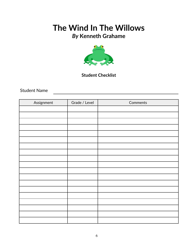## *By* **Kenneth Grahame**



### **Student Checklist**

Student Name

| Assignment | Grade / Level | Comments |
|------------|---------------|----------|
|            |               |          |
|            |               |          |
|            |               |          |
|            |               |          |
|            |               |          |
|            |               |          |
|            |               |          |
|            |               |          |
|            |               |          |
|            |               |          |
|            |               |          |
|            |               |          |
|            |               |          |
|            |               |          |
|            |               |          |
|            |               |          |
|            |               |          |
|            |               |          |
|            |               |          |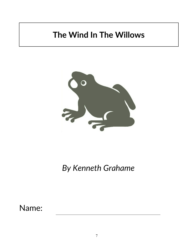

*By Kenneth Grahame*

Name: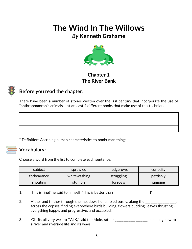*By* **Kenneth Grahame**



### **Chapter 1 The River Bank**



## **Before you read the chapter**:

There have been a number of stories written over the last century that incorporate the use of \*anthropomorphic animals. List at least 4 different books that make use of this technique.

\* Definition: Ascribing human characteristics to nonhuman things.

## **Vocabulary:**

Choose a word from the list to complete each sentence.

| subject     | sprawled     | hedgerows  | curiosity      |
|-------------|--------------|------------|----------------|
| forbearance | whitewashing | struggling | pettishly      |
| shouting    | stumble      | torepaw    | <b>Jumping</b> |

- 1. This is fine!' he said to himself. 'This is better than \_\_\_\_\_\_\_\_\_\_\_\_\_\_\_\_\_\_\_\_\_.
- 2. Hither and thither through the meadows he rambled busily, along the \_\_\_\_\_\_\_\_\_\_\_\_\_\_\_, across the copses, finding everywhere birds building, flowers budding, leaves thrusting everything happy, and progressive, and occupied.
- 3. 'Oh, its all very well to TALK,' said the Mole, rather \_\_\_\_\_\_\_\_\_\_\_\_\_\_\_\_\_\_\_, he being new to a river and riverside life and its ways.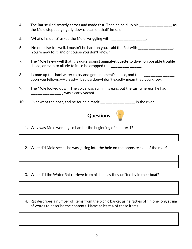- 4. The Rat sculled smartly across and made fast. Then he held up his \_\_\_\_\_\_\_\_\_\_\_\_\_\_\_\_\_\_\_\_\_\_ as the Mole stepped gingerly down. 'Lean on that!' he said.
- 5. What's inside it?' asked the Mole, wriggling with  $\blacksquare$
- 6. 'No one else to—well, I mustn't be hard on you,' said the Rat with  $\qquad \qquad \_$ 'You're new to it, and of course you don't know.'
- 7. The Mole knew well that it is quite against animal-etiquette to dwell on possible trouble ahead, or even to allude to it; so he dropped the \_\_\_\_\_\_\_\_\_\_\_\_\_\_\_\_.
- 8. I came up this backwater to try and get a moment's peace, and then \_\_\_\_\_\_\_\_\_\_\_\_\_\_\_\_ upon you fellows!—At least—I beg pardon—I don't exactly mean that, you know.'
- 9. The Mole looked down. The voice was still in his ears, but the turf whereon he had \_\_\_\_\_\_\_\_\_\_\_\_\_\_\_\_\_\_\_ was clearly vacant.
- 10. Over went the boat, and he found himself \_\_\_\_\_\_\_\_\_\_\_\_\_\_\_\_\_\_\_\_ in the river.



1. Why was Mole working so hard at the beginning of chapter 1?

2. What did Mole see as he was gazing into the hole on the opposite side of the river?

- 3. What did the Water Rat retrieve from his hole as they drifted by in their boat?
- 4. Rat describes a number of items from the picnic basket as he rattles off in one long string of words to describe the contents. Name at least 4 of these items.

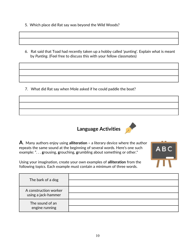- 5. Which place did Rat say was beyond the Wild Woods?
- 6. Rat said that Toad had recently taken up a hobby called 'punting'. Explain what is meant by *Punting*. (Feel free to discuss this with your fellow classmates)

7. What did Rat say when Mole asked if he could paddle the boat?



ABC

**A**. Many authors enjoy using **alliteration –** a literary device where the author **r**epeats the same sound at the beginning of several words. Here's one such example: ". . . **g**rousing, **g**rouching, **g**rumbling about something or other."

Using your imagination, create your own examples of **alliteration** from the following topics. Each example must contain a minimum of three words.

| The bark of a dog                            |  |
|----------------------------------------------|--|
| A construction worker<br>using a jack-hammer |  |
| The sound of an<br>engine running            |  |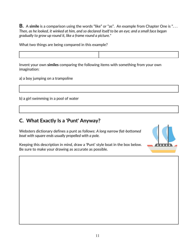**B.** A **simile** is a comparison using the words "like" or "as". An example from Chapter One is ". . . *Then, as he looked, it winked at him, and so declared itself to be an eye; and a small face began gradually to grow up round it, like a frame round a picture."*

What two things are being compared in this example?



Invent your own **similes** comparing the following items with something from your own imagination:

a) a boy jumping on a trampoline

b) a girl swimming in a pool of water

### **C. What Exactly Is a 'Punt' Anyway?**

Websters dictionary defines a punt as follows: *A long narrow flat-bottomed boat with square ends usually propelled with a pole.*

Keeping this description in mind, draw a 'Punt' style boat in the box below. Be sure to make your drawing as accurate as possible.